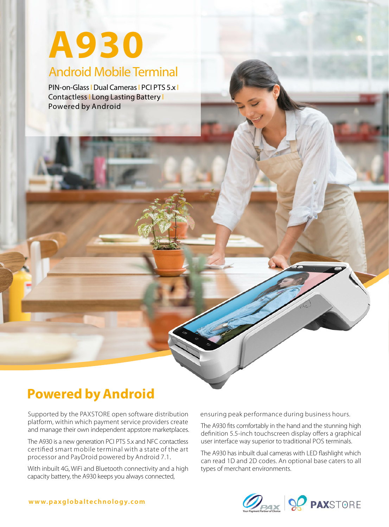# Android Mobile Terminal **A930**

PIN-on-Glass | Dual Cameras | PCI PTS 5.x | Contactless | Long Lasting Battery | Powered by Android

# **Powered by Android**

Supported by the PAXSTORE open software distribution platform, within which payment service providers create and manage their own independent appstore marketplaces.

The A930 is a new generation PCI PTS 5.x and NFC contactless certified smart mobile terminal with a state of the art processor and PayDroid powered by Android 7.1.

With inbuilt 4G, WiFi and Bluetooth connectivity and a high capacity battery, the A930 keeps you always connected,

ensuring peak performance during business hours.

The A930 fits comfortably in the hand and the stunning high definition 5.5-inch touchscreen display offers a graphical user interface way superior to traditional POS terminals.

The A930 has inbuilt dual cameras with LED flashlight which can read 1D and 2D codes. An optional base caters to all types of merchant environments.